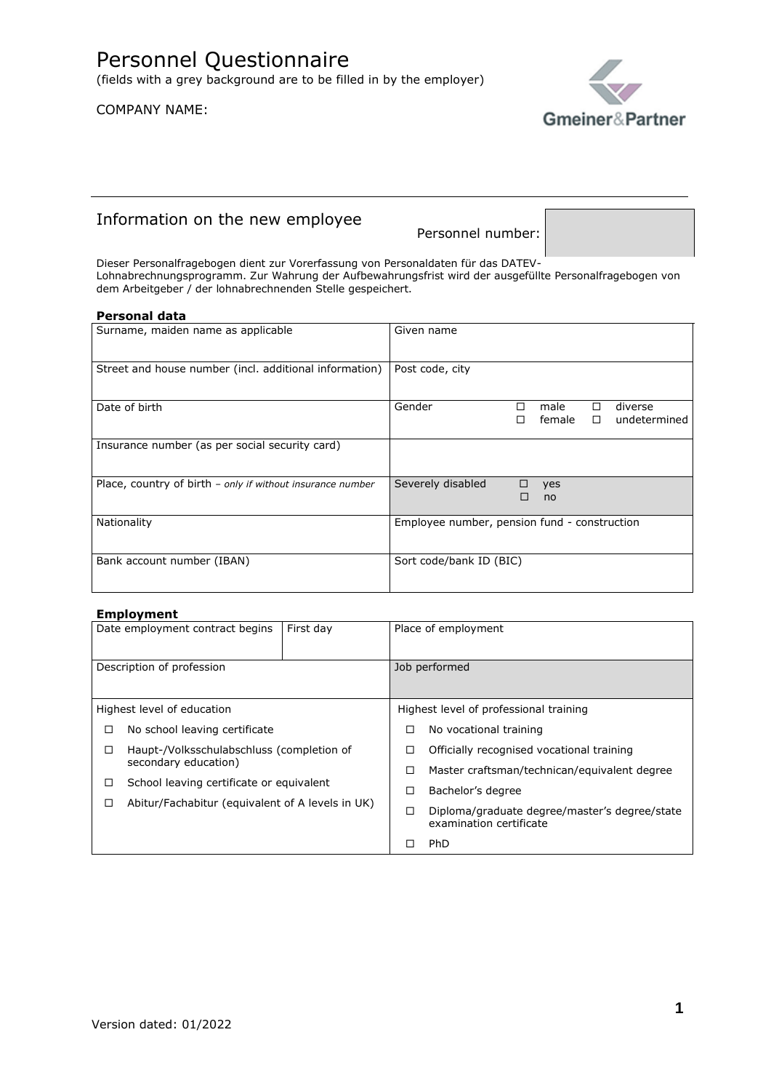## COMPANY NAME:



# Information on the new employee

Personnel number:

Dieser Personalfragebogen dient zur Vorerfassung von Personaldaten für das DATEV-Lohnabrechnungsprogramm. Zur Wahrung der Aufbewahrungsfrist wird der ausgefüllte Personalfragebogen von dem Arbeitgeber / der lohnabrechnenden Stelle gespeichert.

### **Personal data**

| Surname, maiden name as applicable                         | Given name                                                          |
|------------------------------------------------------------|---------------------------------------------------------------------|
| Street and house number (incl. additional information)     | Post code, city                                                     |
| Date of birth                                              | Gender<br>diverse<br>male<br>□<br>п<br>female<br>undetermined<br>П. |
| Insurance number (as per social security card)             |                                                                     |
| Place, country of birth - only if without insurance number | Severely disabled<br>yes<br>□<br>П<br>no                            |
| Nationality                                                | Employee number, pension fund - construction                        |
| Bank account number (IBAN)                                 | Sort code/bank ID (BIC)                                             |

### **Employment**

|                                                | Date employment contract begins                  | First day            | Place of employment                       |                                               |
|------------------------------------------------|--------------------------------------------------|----------------------|-------------------------------------------|-----------------------------------------------|
| Description of profession                      |                                                  | Job performed        |                                           |                                               |
|                                                | Highest level of education                       |                      |                                           | Highest level of professional training        |
| □                                              | No school leaving certificate                    |                      |                                           | No vocational training                        |
| Haupt-/Volksschulabschluss (completion of<br>□ |                                                  | $\Box$               | Officially recognised vocational training |                                               |
|                                                |                                                  | secondary education) |                                           | Master craftsman/technican/equivalent degree  |
| $\Box$                                         | School leaving certificate or equivalent         |                      | □                                         | Bachelor's degree                             |
| Π                                              | Abitur/Fachabitur (equivalent of A levels in UK) |                      | □                                         | Diploma/graduate degree/master's degree/state |
|                                                |                                                  |                      |                                           | examination certificate                       |
|                                                |                                                  |                      |                                           | PhD                                           |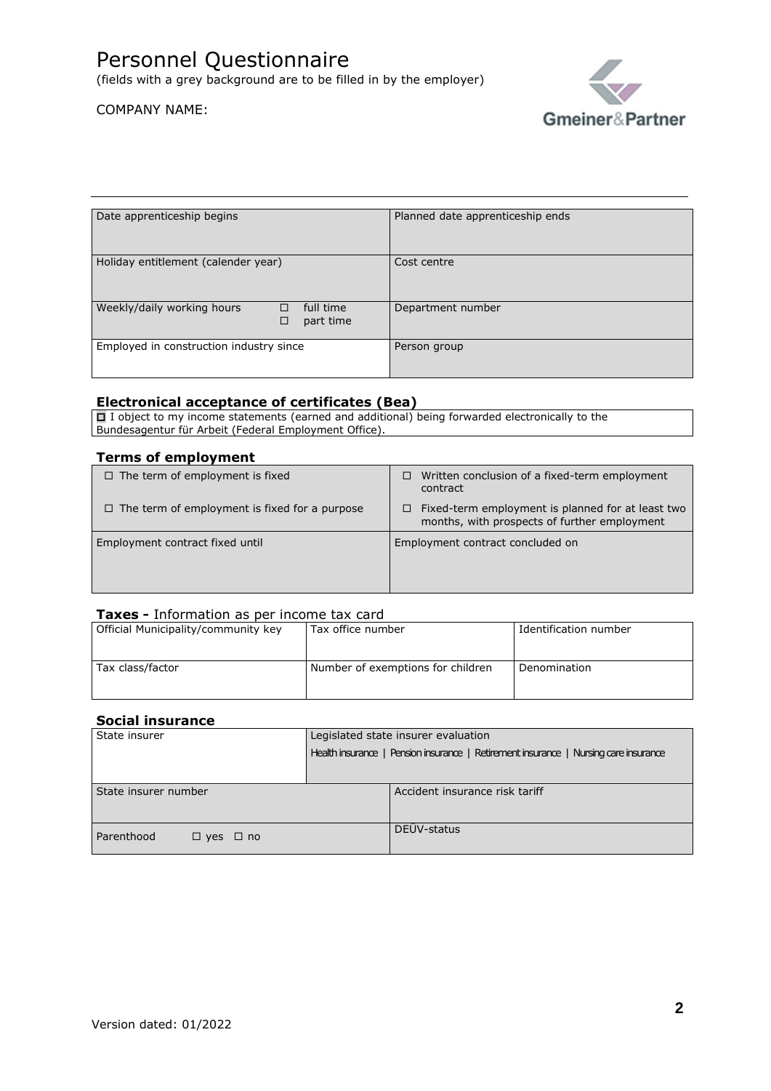(fields with a grey background are to be filled in by the employer)

# COMPANY NAME:



| Date apprenticeship begins                                     |  | Planned date apprenticeship ends |
|----------------------------------------------------------------|--|----------------------------------|
| Holiday entitlement (calender year)                            |  | Cost centre                      |
| Weekly/daily working hours<br>full time<br>□<br>part time<br>□ |  | Department number                |
| Employed in construction industry since                        |  | Person group                     |

### **Electronical acceptance of certificates (Bea)**

□ I object to my income statements (earned and additional) being forwarded electronically to the Bundesagentur für Arbeit (Federal Employment Office).

### **Terms of employment**

| $\Box$ The term of employment is fixed               | Written conclusion of a fixed-term employment<br>□<br>contract                                          |
|------------------------------------------------------|---------------------------------------------------------------------------------------------------------|
| $\Box$ The term of employment is fixed for a purpose | Fixed-term employment is planned for at least two<br>0.<br>months, with prospects of further employment |
| Employment contract fixed until                      | Employment contract concluded on                                                                        |

### **Taxes -** Information as per income tax card

| Official Municipality/community key | Tax office number                 | Identification number |
|-------------------------------------|-----------------------------------|-----------------------|
|                                     |                                   |                       |
|                                     |                                   |                       |
| Tax class/factor                    | Number of exemptions for children | Denomination          |
|                                     |                                   |                       |
|                                     |                                   |                       |

### **Social insurance**

| State insurer                      | Legislated state insurer evaluation                                                  |  |
|------------------------------------|--------------------------------------------------------------------------------------|--|
|                                    | Health insurance   Pension insurance   Retirement insurance   Nursing care insurance |  |
|                                    |                                                                                      |  |
| State insurer number               | Accident insurance risk tariff                                                       |  |
| Parenthood<br>$\Box$ yes $\Box$ no | DEÜV-status                                                                          |  |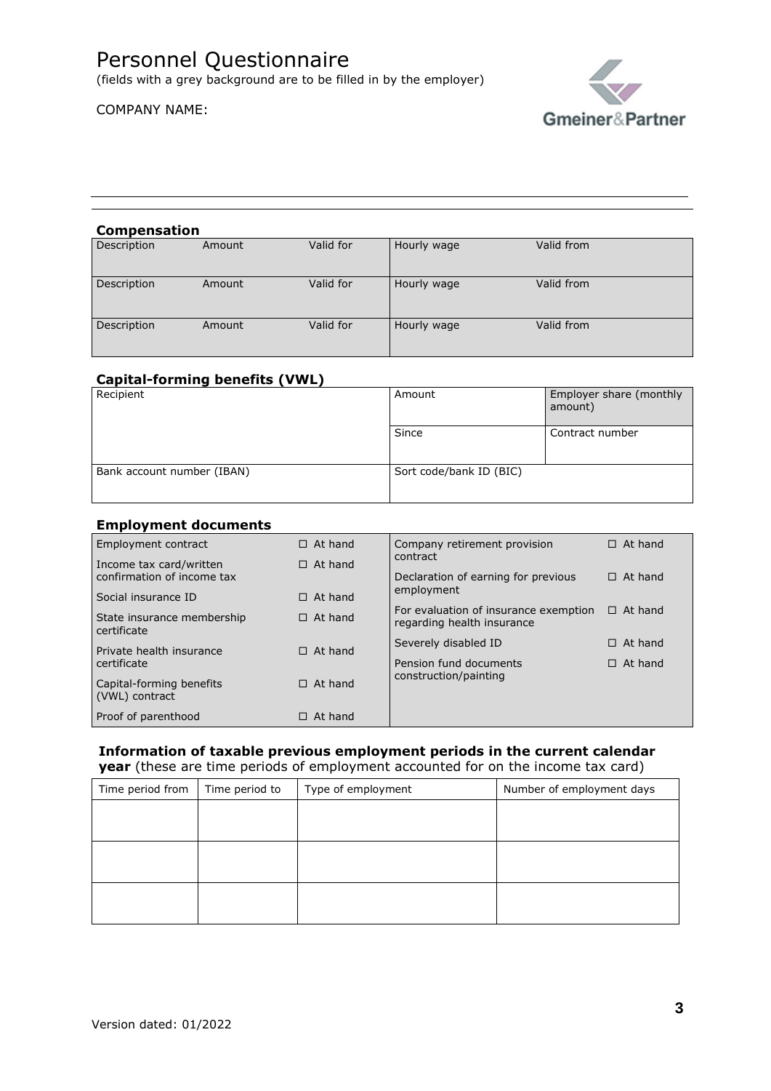# Personnel Questionnaire

(fields with a grey background are to be filled in by the employer)

# COMPANY NAME:



### **Compensation**

| Description | Amount | Valid for | Hourly wage | Valid from |
|-------------|--------|-----------|-------------|------------|
| Description | Amount | Valid for | Hourly wage | Valid from |
| Description | Amount | Valid for | Hourly wage | Valid from |

### **Capital-forming benefits (VWL)**

| Recipient                  | Amount                  | Employer share (monthly<br>amount) |
|----------------------------|-------------------------|------------------------------------|
|                            | Since                   | Contract number                    |
| Bank account number (IBAN) | Sort code/bank ID (BIC) |                                    |

### **Employment documents**

| . <i>.</i>                                                            |                                  |                                                               |                |  |
|-----------------------------------------------------------------------|----------------------------------|---------------------------------------------------------------|----------------|--|
| Employment contract                                                   | $\Box$ At hand                   | Company retirement provision                                  | $\Box$ At hand |  |
| Income tax card/written                                               | $\Box$ At hand                   | contract                                                      |                |  |
| confirmation of income tax                                            |                                  | Declaration of earning for previous                           | $\Box$ At hand |  |
| Social insurance ID                                                   | $\Box$ At hand                   |                                                               |                |  |
|                                                                       |                                  | For evaluation of insurance exemption                         | $\Box$ At hand |  |
| certificate                                                           |                                  | regarding health insurance                                    |                |  |
|                                                                       |                                  | Severely disabled ID                                          | At hand<br>п   |  |
|                                                                       |                                  |                                                               |                |  |
|                                                                       |                                  |                                                               |                |  |
| Capital-forming benefits                                              | $\Box$ At hand                   |                                                               |                |  |
| (VWL) contract                                                        |                                  |                                                               |                |  |
| Proof of parenthood                                                   | At hand                          |                                                               |                |  |
| State insurance membership<br>Private health insurance<br>certificate | $\Box$ At hand<br>$\Box$ At hand | employment<br>Pension fund documents<br>construction/painting | $\Box$ At hand |  |

# **Information of taxable previous employment periods in the current calendar**

**year** (these are time periods of employment accounted for on the income tax card)

| Time period from | Time period to | Type of employment | Number of employment days |
|------------------|----------------|--------------------|---------------------------|
|                  |                |                    |                           |
|                  |                |                    |                           |
|                  |                |                    |                           |
|                  |                |                    |                           |
|                  |                |                    |                           |
|                  |                |                    |                           |